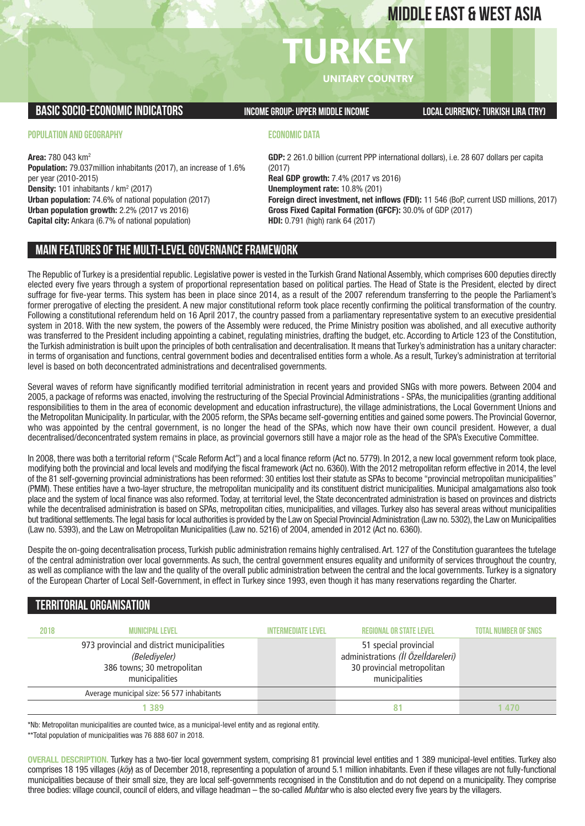# **MIDDLE EAST & WEST ASIA**

# **TURKEY UNITARY COUNTRY**

**BASICSOCIO-ECONOMICINDICATORS INCOMEGROUP:UPPER MIDDLEINCOME LOCALCURRENCY:TURKISH LIRA (TRY)**

#### **POPULATION AND GEOGRAPHY**

**Area:** 780 043 km2 **Population:** 79.037million inhabitants (2017), an increase of 1.6% per year (2010-2015) **Density:** 101 inhabitants / km<sup>2</sup> (2017) **Urban population:** 74.6% of national population (2017) **Urban population growth:** 2.2% (2017 vs 2016) **Capital city:** Ankara (6.7% of national population)

#### **ECONOMIC DATA**

**GDP:** 2 261.0 billion (current PPP international dollars), i.e. 28 607 dollars per capita (2017) **Real GDP growth:** 7.4% (2017 vs 2016) **Unemployment rate:** 10.8% (201) **Foreign direct investment, net inflows (FDI):** 11 546 (BoP, current USD millions, 2017) **Gross Fixed Capital Formation (GFCF):** 30.0% of GDP (2017) **HDI:** 0.791 (high) rank 64 (2017)

#### **MAIN FEATURESOFTHE MULTI-LEVELGOVERNANCEFRAMEWORK**

The Republic of Turkey is a presidential republic. Legislative power is vested in the Turkish Grand National Assembly, which comprises 600 deputies directly elected every five years through a system of proportional representation based on political parties. The Head of State is the President, elected by direct suffrage for five-year terms. This system has been in place since 2014, as a result of the 2007 referendum transferring to the people the Parliament's former prerogative of electing the president. A new major constitutional reform took place recently confirming the political transformation of the country. Following a constitutional referendum held on 16 April 2017, the country passed from a parliamentary representative system to an executive presidential system in 2018. With the new system, the powers of the Assembly were reduced, the Prime Ministry position was abolished, and all executive authority was transferred to the President including appointing a cabinet, regulating ministries, drafting the budget, etc. According to Article 123 of the Constitution, the Turkish administration is built upon the principles of both centralisation and decentralisation. It means that Turkey's administration has a unitary character: in terms of organisation and functions, central government bodies and decentralised entities form a whole. As a result, Turkey's administration at territorial level is based on both deconcentrated administrations and decentralised governments.

Several waves of reform have significantly modified territorial administration in recent years and provided SNGs with more powers. Between 2004 and 2005, a package of reforms was enacted, involving the restructuring of the Special Provincial Administrations - SPAs, the municipalities (granting additional responsibilities to them in the area of economic development and education infrastructure), the village administrations, the Local Government Unions and the Metropolitan Municipality. In particular, with the 2005 reform, the SPAs became self-governing entities and gained some powers. The Provincial Governor, who was appointed by the central government, is no longer the head of the SPAs, which now have their own council president. However, a dual decentralised/deconcentrated system remains in place, as provincial governors still have a major role as the head of the SPA's Executive Committee.

In 2008, there was both a territorial reform ("Scale Reform Act") and a local finance reform (Act no. 5779). In 2012, a new local government reform took place, modifying both the provincial and local levels and modifying the fiscal framework (Act no. 6360).With the 2012 metropolitan reform effective in 2014, the level of the 81 self-governing provincial administrations has been reformed: 30 entities lost their statute as SPAs to become "provincial metropolitan municipalities" (PMM). These entities have a two-layer structure, the metropolitan municipality and its constituent district municipalities. Municipal amalgamations also took place and the system of local finance was also reformed. Today, at territorial level, the State deconcentrated administration is based on provinces and districts while the decentralised administration is based on SPAs, metropolitan cities, municipalities, and villages. Turkey also has several areas without municipalities but traditional settlements.The legal basis for local authorities is provided by the Law on Special Provincial Administration (Law no. 5302), the Law on Municipalities (Law no. 5393), and the Law on Metropolitan Municipalities (Law no. 5216) of 2004, amended in 2012 (Act no. 6360).

Despite the on-going decentralisation process, Turkish public administration remains highly centralised. Art. 127 of the Constitution guarantees the tutelage of the central administration over local governments. As such, the central government ensures equality and uniformity of services throughout the country, as well as compliance with the law and the quality of the overall public administration between the central and the local governments. Turkey is a signatory of the European Charter of Local Self-Government, in effect in Turkey since 1993, even though it has many reservations regarding the Charter.

#### **TERRITORIALORGANISATION**

| 2018 | <b>MUNICIPAL LEVEL</b>                                                                                      | <b>INTERMEDIATE LEVEL</b> | <b>REGIONAL OR STATE LEVEL</b>                                                                              | <b>TOTAL NUMBER OF SNGS</b> |
|------|-------------------------------------------------------------------------------------------------------------|---------------------------|-------------------------------------------------------------------------------------------------------------|-----------------------------|
|      | 973 provincial and district municipalities<br>(Belediyeler)<br>386 towns; 30 metropolitan<br>municipalities |                           | 51 special provincial<br>administrations (İl Özelİdareleri)<br>30 provincial metropolitan<br>municipalities |                             |
|      | Average municipal size: 56 577 inhabitants                                                                  |                           |                                                                                                             |                             |
|      | 1 389                                                                                                       |                           | 81                                                                                                          | 470                         |

\*Nb: Metropolitan municipalities are counted twice, as a municipal-level entity and as regional entity.

\*\*Total population of municipalities was 76 888 607 in 2018.

**OVERALL DESCRIPTION.** Turkey has a two-tier local government system, comprising 81 provincial level entities and 1 389 municipal-level entities. Turkey also comprises 18 195 villages (*köy*) as of December 2018, representing a population of around 5.1 million inhabitants. Even if these villages are not fully-functional municipalities because of their small size, they are local self-governments recognised in the Constitution and do not depend on a municipality. They comprise three bodies: village council, council of elders, and village headman – the so-called *Muhtar* who is also elected every five years by the villagers.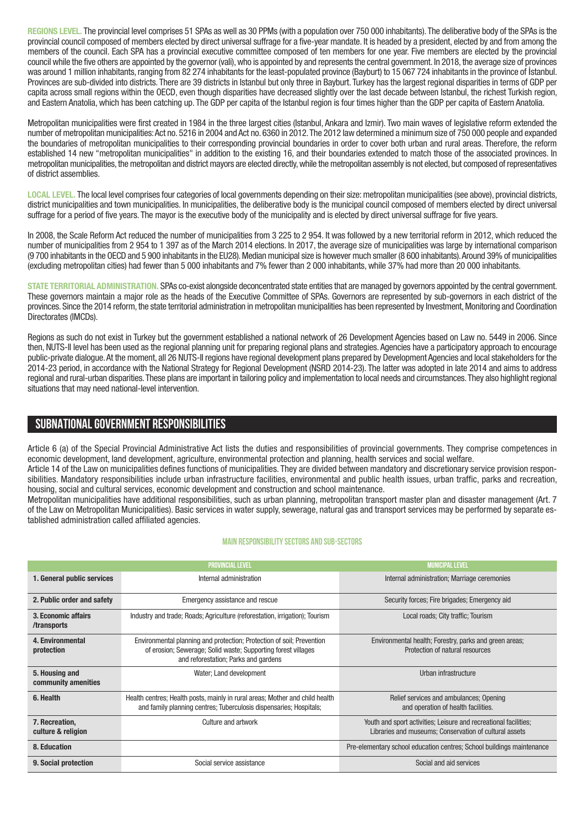**REGIONS LEVEL.** The provincial level comprises 51 SPAs as well as 30 PPMs (with a population over 750 000 inhabitants).The deliberative body of the SPAs is the provincial council composed of members elected by direct universal suffrage for a five-year mandate. It is headed by a president, elected by and from among the members of the council. Each SPA has a provincial executive committee composed of ten members for one year. Five members are elected by the provincial council while the five others are appointed by the governor (vali), who is appointed by and represents the central government. In 2018, the average size of provinces was around 1 million inhabitants,ranging from 82 274 inhabitants for the least-populated province (Bayburt) to 15 067 724 inhabitants in the province of İstanbul. Provinces are sub-divided into districts. There are 39 districts in Istanbul but only three in Bayburt. Turkey has the largest regional disparities in terms of GDP per capita across small regions within the OECD, even though disparities have decreased slightly over the last decade between Istanbul, the richest Turkish region, and Eastern Anatolia, which has been catching up. The GDP per capita of the Istanbul region is four times higher than the GDP per capita of Eastern Anatolia.

Metropolitan municipalities were first created in 1984 in the three largest cities (Istanbul, Ankara and Izmir). Two main waves of legislative reform extended the number of metropolitan municipalities:Act no. 5216 in 2004 and Act no. 6360 in 2012.The 2012 law determined a minimum size of 750 000 people and expanded the boundaries of metropolitan municipalities to their corresponding provincial boundaries in order to cover both urban and rural areas. Therefore, the reform established 14 new "metropolitan municipalities" in addition to the existing 16, and their boundaries extended to match those of the associated provinces. In metropolitan municipalities, the metropolitan and district mayors are elected directly, while the metropolitan assembly is not elected, but composed of representatives of district assemblies.

LOCAL LEVEL. The local level comprises four categories of local governments depending on their size: metropolitan municipalities (see above), provincial districts, district municipalities and town municipalities. In municipalities, the deliberative body is the municipal council composed of members elected by direct universal suffrage for a period of five years. The mayor is the executive body of the municipality and is elected by direct universal suffrage for five years.

In 2008, the Scale Reform Act reduced the number of municipalities from 3 225 to 2 954. It was followed by a new territorial reform in 2012, which reduced the number of municipalities from 2 954 to 1 397 as of the March 2014 elections. In 2017, the average size of municipalities was large by international comparison (9 700 inhabitants in the OECD and 5 900 inhabitants in the EU28).Median municipal size is however much smaller (8 600 inhabitants).Around 39% of municipalities (excluding metropolitan cities) had fewer than 5 000 inhabitants and 7% fewer than 2 000 inhabitants, while 37% had more than 20 000 inhabitants.

**STATE TERRITORIAL ADMINISTRATION.** SPAs co-exist alongside deconcentrated state entities that are managed by governors appointed by the central government. These governors maintain a major role as the heads of the Executive Committee of SPAs. Governors are represented by sub-governors in each district of the provinces. Since the 2014 reform, the state territorial administration in metropolitan municipalities has been represented by Investment,Monitoring and Coordination Directorates (IMCDs).

Regions as such do not exist in Turkey but the government established a national network of 26 Development Agencies based on Law no. 5449 in 2006. Since then, NUTS-II level has been used as the regional planning unit for preparing regional plans and strategies. Agencies have a participatory approach to encourage public-private dialogue.At the moment, all 26 NUTS-II regions have regional development plans prepared by Development Agencies and local stakeholders for the 2014-23 period, in accordance with the National Strategy for Regional Development (NSRD 2014-23). The latter was adopted in late 2014 and aims to address regional and rural-urban disparities.These plans are important in tailoring policy and implementation to local needs and circumstances.They also highlight regional situations that may need national-level intervention.

### **SUBNATIONALGOVERNMENT RESPONSIBILITIES**

Article 6 (a) of the Special Provincial Administrative Act lists the duties and responsibilities of provincial governments. They comprise competences in economic development, land development, agriculture, environmental protection and planning, health services and social welfare.

Article 14 of the Law on municipalities defines functions of municipalities. They are divided between mandatory and discretionary service provision responsibilities. Mandatory responsibilities include urban infrastructure facilities, environmental and public health issues, urban traffic, parks and recreation, housing, social and cultural services, economic development and construction and school maintenance.

Metropolitan municipalities have additional responsibilities, such as urban planning, metropolitan transport master plan and disaster management (Art. 7 of the Law on Metropolitan Municipalities). Basic services in water supply, sewerage, natural gas and transport services may be performed by separate established administration called affiliated agencies.

#### **Main responsibilitysectors and sub-sectors**

|                                                       | <b>PROVINCIAL LEVEL</b>                                                                                                                                                        | <b>MUNICIPAL LEVEL</b>                                                                                                     |  |  |
|-------------------------------------------------------|--------------------------------------------------------------------------------------------------------------------------------------------------------------------------------|----------------------------------------------------------------------------------------------------------------------------|--|--|
| 1. General public services<br>Internal administration |                                                                                                                                                                                | Internal administration; Marriage ceremonies                                                                               |  |  |
| 2. Public order and safety                            | Emergency assistance and rescue                                                                                                                                                | Security forces; Fire brigades; Emergency aid                                                                              |  |  |
| 3. Economic affairs<br>/transports                    | Industry and trade; Roads; Agriculture (reforestation, irrigation); Tourism                                                                                                    | Local roads; City traffic; Tourism                                                                                         |  |  |
| 4. Environmental<br>protection                        | Environmental planning and protection; Protection of soil; Prevention<br>of erosion; Sewerage; Solid waste; Supporting forest villages<br>and reforestation; Parks and gardens | Environmental health; Forestry, parks and green areas;<br>Protection of natural resources                                  |  |  |
| 5. Housing and<br>community amenities                 | Water; Land development                                                                                                                                                        | Urban infrastructure                                                                                                       |  |  |
| 6. Health                                             | Health centres; Health posts, mainly in rural areas; Mother and child health<br>and family planning centres; Tuberculosis dispensaries; Hospitals;                             | Relief services and ambulances; Opening<br>and operation of health facilities.                                             |  |  |
| 7. Recreation,<br>culture & religion                  | Culture and artwork                                                                                                                                                            | Youth and sport activities; Leisure and recreational facilities;<br>Libraries and museums; Conservation of cultural assets |  |  |
| 8. Education                                          |                                                                                                                                                                                | Pre-elementary school education centres; School buildings maintenance                                                      |  |  |
| 9. Social protection                                  | Social service assistance                                                                                                                                                      | Social and aid services                                                                                                    |  |  |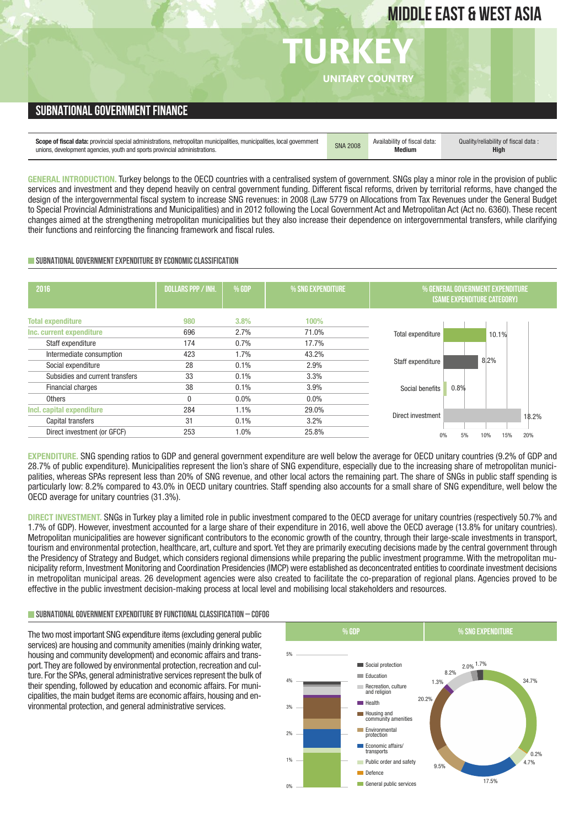# **MIDDLE EAST & WEST ASIA**

## **TURKEY UNITARY COUNTRY SUBNATIONAL GOVERNMENT FINANCE** Scope of fiscal data: provincial special administrations, metropolitan municipalities, municipalities, local government [SNA 2008 | Availability of fiscal data:<br>unions, development agencies, youth and sports provincial adm **Medium** Quality/reliability of fiscal data : **High**

**GENERAL INTRODUCTION.** Turkey belongs to the OECD countries with a centralised system of government. SNGs play a minor role in the provision of public services and investment and they depend heavily on central government funding. Different fiscal reforms, driven by territorial reforms, have changed the design of the intergovernmental fiscal system to increase SNG revenues: in 2008 (Law 5779 on Allocations from Tax Revenues under the General Budget to Special Provincial Administrations and Municipalities) and in 2012 following the Local Government Act and Metropolitan Act (Act no. 6360). These recent changes aimed at the strengthening metropolitan municipalities but they also increase their dependence on intergovernmental transfers, while clarifying their functions and reinforcing the financing framework and fiscal rules.

#### **SUBNATIONAL GOVERNMENT EXPENDITURE BY ECONOMIC CLASSIFICATION**

| 2016                            | <b>DOLLARS PPP / INH.</b> | % GDP   | % SNG EXPENDITURE | % GENERAL GOVERNMENT EXPENDITURE<br>(SAME EXPENDITURE CATEGORY) |
|---------------------------------|---------------------------|---------|-------------------|-----------------------------------------------------------------|
| <b>Total expenditure</b>        | 980                       | 3.8%    | 100%              |                                                                 |
| Inc. current expenditure        | 696                       | 2.7%    | 71.0%             | Total expenditure<br>10.1%                                      |
| Staff expenditure               | 174                       | 0.7%    | 17.7%             |                                                                 |
| Intermediate consumption        | 423                       | 1.7%    | 43.2%             |                                                                 |
| Social expenditure              | 28                        | 0.1%    | 2.9%              | 8.2%<br>Staff expenditure                                       |
| Subsidies and current transfers | 33                        | 0.1%    | 3.3%              |                                                                 |
| Financial charges               | 38                        | 0.1%    | 3.9%              | 0.8%<br>Social benefits                                         |
| <b>Others</b>                   | 0                         | $0.0\%$ | $0.0\%$           |                                                                 |
| Incl. capital expenditure       | 284                       | 1.1%    | 29.0%             |                                                                 |
| Capital transfers               | 31                        | 0.1%    | 3.2%              | Direct investment<br>18.2%                                      |
| Direct investment (or GFCF)     | 253                       | 1.0%    | 25.8%             | 5%<br>15%<br>20%<br>0%<br>10%                                   |
|                                 |                           |         |                   |                                                                 |

**EXPENDITURE.** SNG spending ratios to GDP and general government expenditure are well below the average for OECD unitary countries (9.2% of GDP and 28.7% of public expenditure). Municipalities represent the lion's share of SNG expenditure, especially due to the increasing share of metropolitan municipalities, whereas SPAs represent less than 20% of SNG revenue, and other local actors the remaining part. The share of SNGs in public staff spending is particularly low: 8.2% compared to 43.0% in OECD unitary countries. Staff spending also accounts for a small share of SNG expenditure, well below the OECD average for unitary countries (31.3%).

**DIRECT INVESTMENT.** SNGs in Turkey play a limited role in public investment compared to the OECD average for unitary countries (respectively 50.7% and 1.7% of GDP). However, investment accounted for a large share of their expenditure in 2016, well above the OECD average (13.8% for unitary countries). Metropolitan municipalities are however significant contributors to the economic growth of the country, through their large-scale investments in transport, tourism and environmental protection, healthcare, art, culture and sport. Yet they are primarily executing decisions made by the central government through the Presidency of Strategy and Budget, which considers regional dimensions while preparing the public investment programme. With the metropolitan municipality reform, Investment Monitoring and Coordination Presidencies (IMCP) were established as deconcentrated entities to coordinate investment decisions in metropolitan municipal areas. 26 development agencies were also created to facilitate the co-preparation of regional plans. Agencies proved to be effective in the public investment decision-making process at local level and mobilising local stakeholders and resources.

#### **SUBNATIONALGOVERNMENTEXPENDITURE BYFUNCTIONALCLASSIFICATION – COFOG**

The two most important SNG expenditure items (excluding general public services) are housing and community amenities (mainly drinking water, housing and community development) and economic affairs and transport. They are followed by environmental protection, recreation and culture. For the SPAs, general administrative services represent the bulk of their spending, followed by education and economic affairs. For municipalities, the main budget items are economic affairs, housing and environmental protection, and general administrative services.